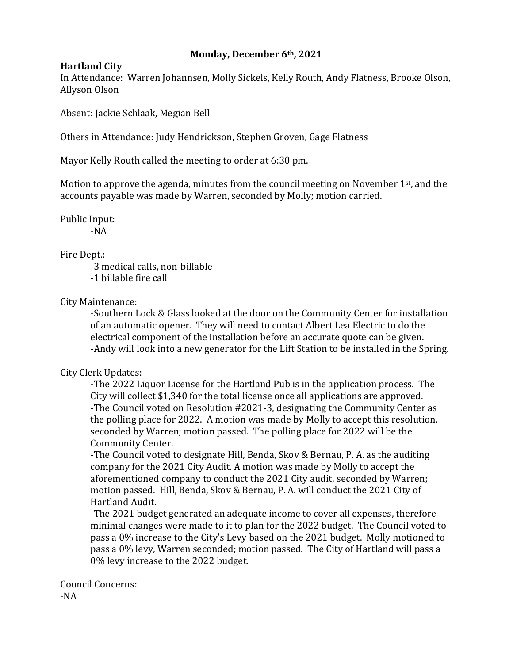## **Monday, December 6th, 2021**

## **Hartland City**

In Attendance: Warren Johannsen, Molly Sickels, Kelly Routh, Andy Flatness, Brooke Olson, Allyson Olson

Absent: Jackie Schlaak, Megian Bell

Others in Attendance: Judy Hendrickson, Stephen Groven, Gage Flatness

Mayor Kelly Routh called the meeting to order at 6:30 pm.

Motion to approve the agenda, minutes from the council meeting on November 1<sup>st</sup>, and the accounts payable was made by Warren, seconded by Molly; motion carried.

Public Input:

-NA

## Fire Dept.:

-3 medical calls, non-billable -1 billable fire call

City Maintenance:

-Southern Lock & Glass looked at the door on the Community Center for installation of an automatic opener. They will need to contact Albert Lea Electric to do the electrical component of the installation before an accurate quote can be given. -Andy will look into a new generator for the Lift Station to be installed in the Spring.

## City Clerk Updates:

-The 2022 Liquor License for the Hartland Pub is in the application process. The City will collect \$1,340 for the total license once all applications are approved. -The Council voted on Resolution #2021-3, designating the Community Center as the polling place for 2022. A motion was made by Molly to accept this resolution, seconded by Warren; motion passed. The polling place for 2022 will be the Community Center.

-The Council voted to designate Hill, Benda, Skov & Bernau, P. A. as the auditing company for the 2021 City Audit. A motion was made by Molly to accept the aforementioned company to conduct the 2021 City audit, seconded by Warren; motion passed. Hill, Benda, Skov & Bernau, P. A. will conduct the 2021 City of Hartland Audit.

-The 2021 budget generated an adequate income to cover all expenses, therefore minimal changes were made to it to plan for the 2022 budget. The Council voted to pass a 0% increase to the City's Levy based on the 2021 budget. Molly motioned to pass a 0% levy, Warren seconded; motion passed. The City of Hartland will pass a 0% levy increase to the 2022 budget.

Council Concerns: -NA